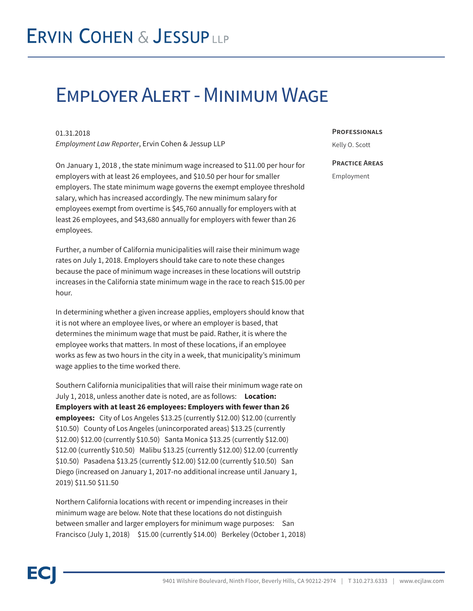# Employer Alert - Minimum Wage

01.31.2018

*Employment Law Reporter*, Ervin Cohen & Jessup LLP

On January 1, 2018 , the state minimum wage increased to \$11.00 per hour for employers with at least 26 employees, and \$10.50 per hour for smaller employers. The state minimum wage governs the exempt employee threshold salary, which has increased accordingly. The new minimum salary for employees exempt from overtime is \$45,760 annually for employers with at least 26 employees, and \$43,680 annually for employers with fewer than 26 employees.

Further, a number of California municipalities will raise their minimum wage rates on July 1, 2018. Employers should take care to note these changes because the pace of minimum wage increases in these locations will outstrip increases in the California state minimum wage in the race to reach \$15.00 per hour.

In determining whether a given increase applies, employers should know that it is not where an employee lives, or where an employer is based, that determines the minimum wage that must be paid. Rather, it is where the employee works that matters. In most of these locations, if an employee works as few as two hours in the city in a week, that municipality's minimum wage applies to the time worked there.

Southern California municipalities that will raise their minimum wage rate on July 1, 2018, unless another date is noted, are as follows: **Location: Employers with at least 26 employees: Employers with fewer than 26 employees:** City of Los Angeles \$13.25 (currently \$12.00) \$12.00 (currently \$10.50) County of Los Angeles (unincorporated areas) \$13.25 (currently \$12.00) \$12.00 (currently \$10.50) Santa Monica \$13.25 (currently \$12.00) \$12.00 (currently \$10.50) Malibu \$13.25 (currently \$12.00) \$12.00 (currently \$10.50) Pasadena \$13.25 (currently \$12.00) \$12.00 (currently \$10.50) San Diego (increased on January 1, 2017-no additional increase until January 1, 2019) \$11.50 \$11.50

Northern California locations with recent or impending increases in their minimum wage are below. Note that these locations do not distinguish between smaller and larger employers for minimum wage purposes: San Francisco (July 1, 2018) \$15.00 (currently \$14.00) Berkeley (October 1, 2018)

#### **Professionals**

Kelly O. Scott

#### **Practice Areas**

Employment